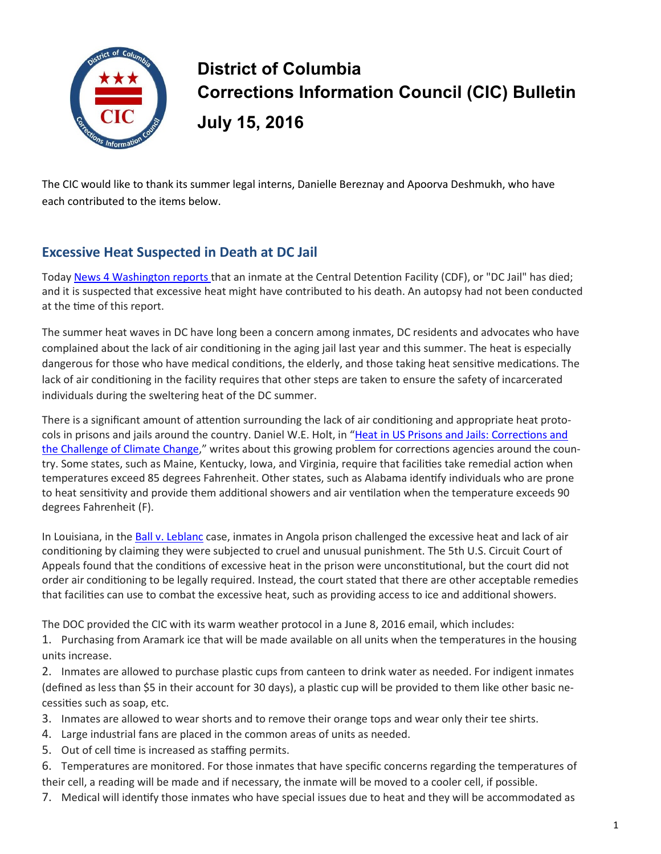

## **District of Columbia Corrections Information Council (CIC) Bulletin July 15, 2016**

The CIC would like to thank its summer legal interns, Danielle Bereznay and Apoorva Deshmukh, who have each contributed to the items below.

## **Excessive Heat Suspected in Death at DC Jail**

Today [News 4 Washington](http://www.nbcwashington.com/news/local/DC-Jail-Inmate-Dies-Amid-Concerns-About-Heat-Inside-387020911.html) reports that an inmate at the Central Detention Facility (CDF), or "DC Jail" has died; and it is suspected that excessive heat might have contributed to his death. An autopsy had not been conducted at the time of this report.

The summer heat waves in DC have long been a concern among inmates, DC residents and advocates who have complained about the lack of air conditioning in the aging jail last year and this summer. The heat is especially dangerous for those who have medical conditions, the elderly, and those taking heat sensitive medications. The lack of air conditioning in the facility requires that other steps are taken to ensure the safety of incarcerated individuals during the sweltering heat of the DC summer.

There is a significant amount of attention surrounding the lack of air conditioning and appropriate heat protocols in prisons and jails around the country. Daniel W.E. Holt, in "[Heat in US Prisons and Jails: Corrections and](https://web.law.columbia.edu/sites/default/files/microsites/climate-change/holt_-_heat_in_us_prisons_and_jails.pdf)  [the Challenge of Climate Change,](https://web.law.columbia.edu/sites/default/files/microsites/climate-change/holt_-_heat_in_us_prisons_and_jails.pdf)" writes about this growing problem for corrections agencies around the country. Some states, such as Maine, Kentucky, Iowa, and Virginia, require that facilities take remedial action when temperatures exceed 85 degrees Fahrenheit. Other states, such as Alabama identify individuals who are prone to heat sensitivity and provide them additional showers and air ventilation when the temperature exceeds 90 degrees Fahrenheit (F).

In Louisiana, in the [Ball v. Leblanc](http://www.ca5.uscourts.gov/opinions/pub/14/14-30067-CV0.pdf) case, inmates in Angola prison challenged the excessive heat and lack of air conditioning by claiming they were subjected to cruel and unusual punishment. The 5th U.S. Circuit Court of Appeals found that the conditions of excessive heat in the prison were unconstitutional, but the court did not order air conditioning to be legally required. Instead, the court stated that there are other acceptable remedies that facilities can use to combat the excessive heat, such as providing access to ice and additional showers.

The DOC provided the CIC with its warm weather protocol in a June 8, 2016 email, which includes:

1. Purchasing from Aramark ice that will be made available on all units when the temperatures in the housing units increase.

2. Inmates are allowed to purchase plastic cups from canteen to drink water as needed. For indigent inmates (defined as less than \$5 in their account for 30 days), a plastic cup will be provided to them like other basic necessities such as soap, etc.

3. Inmates are allowed to wear shorts and to remove their orange tops and wear only their tee shirts.

- 4. Large industrial fans are placed in the common areas of units as needed.
- 5. Out of cell time is increased as staffing permits.
- 6. Temperatures are monitored. For those inmates that have specific concerns regarding the temperatures of their cell, a reading will be made and if necessary, the inmate will be moved to a cooler cell, if possible.
- 7. Medical will identify those inmates who have special issues due to heat and they will be accommodated as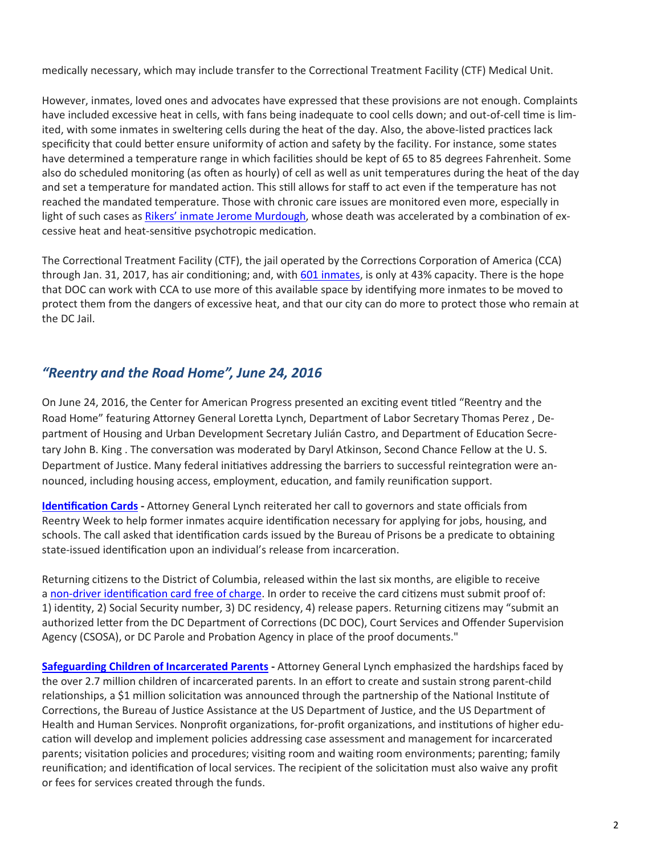medically necessary, which may include transfer to the Correctional Treatment Facility (CTF) Medical Unit.

However, inmates, loved ones and advocates have expressed that these provisions are not enough. Complaints have included excessive heat in cells, with fans being inadequate to cool cells down; and out-of-cell time is limited, with some inmates in sweltering cells during the heat of the day. Also, the above-listed practices lack specificity that could better ensure uniformity of action and safety by the facility. For instance, some states have determined a temperature range in which facilities should be kept of 65 to 85 degrees Fahrenheit. Some also do scheduled monitoring (as often as hourly) of cell as well as unit temperatures during the heat of the day and set a temperature for mandated action. This still allows for staff to act even if the temperature has not reached the mandated temperature. Those with chronic care issues are monitored even more, especially in light of such cases as [Rikers' inmate Jerome Murdough,](http://www.nytimes.com/2014/11/01/nyregion/settlement-for-family-of-rikers-inmate-who-died-in-) whose death was accelerated by a combination of excessive heat and heat-sensitive psychotropic medication.

The Correctional Treatment Facility (CTF), the jail operated by the Corrections Corporation of America (CCA) through Jan. 31, 2017, has air conditioning; and, with [601 inmates,](http://doc.dc.gov/sites/default/files/dc/sites/doc/publication/attachments/July%209%20through%20July%2015%202016.pdf) is only at 43% capacity. There is the hope that DOC can work with CCA to use more of this available space by identifying more inmates to be moved to protect them from the dangers of excessive heat, and that our city can do more to protect those who remain at the DC Jail.

## *"Reentry and the Road Home", June 24, 2016*

On June 24, 2016, the Center for American Progress presented an exciting event titled "Reentry and the Road Home" featuring Attorney General Loretta Lynch, Department of Labor Secretary Thomas Perez , Department of Housing and Urban Development Secretary Julián Castro, and Department of Education Secretary John B. King . The conversation was moderated by Daryl Atkinson, Second Chance Fellow at the U. S. Department of Justice. Many federal initiatives addressing the barriers to successful reintegration were announced, including housing access, employment, education, and family reunification support.

**[Identification Cards](http://time.com/4306079/former-prisoners-identification-id-attorney-general/) -** Attorney General Lynch reiterated her call to governors and state officials from Reentry Week to help former inmates acquire identification necessary for applying for jobs, housing, and schools. The call asked that identification cards issued by the Bureau of Prisons be a predicate to obtaining state-issued identification upon an individual's release from incarceration.

Returning citizens to the District of Columbia, released within the last six months, are eligible to receive a non-[driver identification card free of charge.](http://dmv.dc.gov/service/eligibility-free-non-driver-id) In order to receive the card citizens must submit proof of: 1) identity, 2) Social Security number, 3) DC residency, 4) release papers. Returning citizens may "submit an authorized letter from the DC Department of Corrections (DC DOC), Court Services and Offender Supervision Agency (CSOSA), or DC Parole and Probation Agency in place of the proof documents."

**[Safeguarding Children of Incarcerated Parents](https://www.bja.gov/Funding/COIPSolicitation-Final.pdf) -** Attorney General Lynch emphasized the hardships faced by the over 2.7 million children of incarcerated parents. In an effort to create and sustain strong parent-child relationships, a \$1 million solicitation was announced through the partnership of the National Institute of Corrections, the Bureau of Justice Assistance at the US Department of Justice, and the US Department of Health and Human Services. Nonprofit organizations, for-profit organizations, and institutions of higher education will develop and implement policies addressing case assessment and management for incarcerated parents; visitation policies and procedures; visiting room and waiting room environments; parenting; family reunification; and identification of local services. The recipient of the solicitation must also waive any profit or fees for services created through the funds.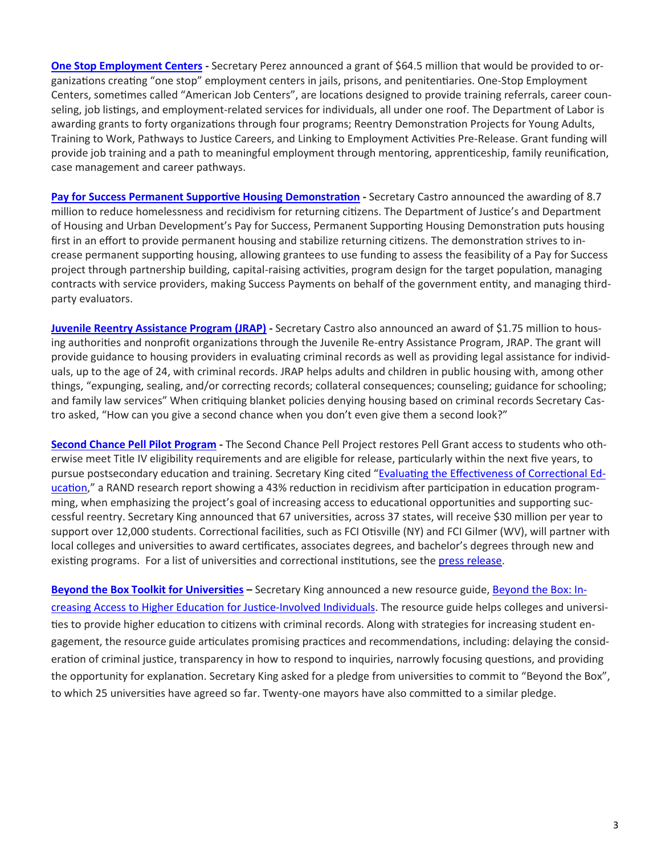**[One Stop Employment Centers](https://www.dol.gov/newsroom/releases/eta/eta20160624) -** Secretary Perez announced a grant of \$64.5 million that would be provided to organizations creating "one stop" employment centers in jails, prisons, and penitentiaries. One-Stop Employment Centers, sometimes called "American Job Centers", are locations designed to provide training referrals, career counseling, job listings, and employment-related services for individuals, all under one roof. The Department of Labor is awarding grants to forty organizations through four programs; Reentry Demonstration Projects for Young Adults, Training to Work, Pathways to Justice Careers, and Linking to Employment Activities Pre-Release. Grant funding will provide job training and a path to meaningful employment through mentoring, apprenticeship, family reunification, case management and career pathways.

**[Pay for Success Permanent Supportive Housing Demonstration](http://portal.hud.gov/hudportal/HUD?src=/press/press_releases_media_advisories/2016/HUDNo_16-099) -** Secretary Castro announced the awarding of 8.7 million to reduce homelessness and recidivism for returning citizens. The Department of Justice's and Department of Housing and Urban Development's Pay for Success, Permanent Supporting Housing Demonstration puts housing first in an effort to provide permanent housing and stabilize returning citizens. The demonstration strives to increase permanent supporting housing, allowing grantees to use funding to assess the feasibility of a Pay for Success project through partnership building, capital-raising activities, program design for the target population, managing contracts with service providers, making Success Payments on behalf of the government entity, and managing thirdparty evaluators.

**[Juvenile Reentry Assistance Program \(JRAP\)](https://www.justice.gov/opa/pr/departments-justice-and-housing-and-urban-development-award-175-million-help-justice-involved) -** Secretary Castro also announced an award of \$1.75 million to housing authorities and nonprofit organizations through the Juvenile Re-entry Assistance Program, JRAP. The grant will provide guidance to housing providers in evaluating criminal records as well as providing legal assistance for individuals, up to the age of 24, with criminal records. JRAP helps adults and children in public housing with, among other things, "expunging, sealing, and/or correcting records; collateral consequences; counseling; guidance for schooling; and family law services" When critiquing blanket policies denying housing based on criminal records Secretary Castro asked, "How can you give a second chance when you don't even give them a second look?"

**[Second Chance Pell Pilot Program](https://www.washingtonpost.com/news/grade-point/wp/2016/06/24/12000-inmates-to-receive-pell-grants-to-take-college-classes/?postshare=9861466782272622&tid=ss_fb) -** The Second Chance Pell Project restores Pell Grant access to students who otherwise meet Title IV eligibility requirements and are eligible for release, particularly within the next five years, to pursue postsecondary education and training. Secretary King cited "[Evaluating the Effectiveness of Correctional Ed](http://www.rand.org/pubs/research_reports/RR266.html)[ucation,"](http://www.rand.org/pubs/research_reports/RR266.html) a RAND research report showing a 43% reduction in recidivism after participation in education programming, when emphasizing the project's goal of increasing access to educational opportunities and supporting successful reentry. Secretary King announced that 67 universities, across 37 states, will receive \$30 million per year to support over 12,000 students. Correctional facilities, such as FCI Otisville (NY) and FCI Gilmer (WV), will partner with local colleges and universities to award certificates, associates degrees, and bachelor's degrees through new and existing programs. For a list of universities and correctional institutions, see the press release.

**[Beyond the Box Toolkit for Universities](http://www.ed.gov/beyondthebox) –** Secretary King announced a new resource guide, [Beyond the Box: In](file:///C:/Users/michelle.bonner/AppData/Local/Microsoft/Windows/Temporary%20Internet%20Files/Content.Outlook/CF4LSKBO/Beyond%20the%20Box:%20Increasing%20Access%20to%20Higher%20Education%20for%20Justice-Involved%20Individuals)[creasing Access to Higher Education for Justice](file:///C:/Users/michelle.bonner/AppData/Local/Microsoft/Windows/Temporary%20Internet%20Files/Content.Outlook/CF4LSKBO/Beyond%20the%20Box:%20Increasing%20Access%20to%20Higher%20Education%20for%20Justice-Involved%20Individuals)-Involved Individuals. The resource guide helps colleges and universities to provide higher education to citizens with criminal records. Along with strategies for increasing student engagement, the resource guide articulates promising practices and recommendations, including: delaying the consideration of criminal justice, transparency in how to respond to inquiries, narrowly focusing questions, and providing the opportunity for explanation. Secretary King asked for a pledge from universities to commit to "Beyond the Box", to which 25 universities have agreed so far. Twenty-one mayors have also committed to a similar pledge.